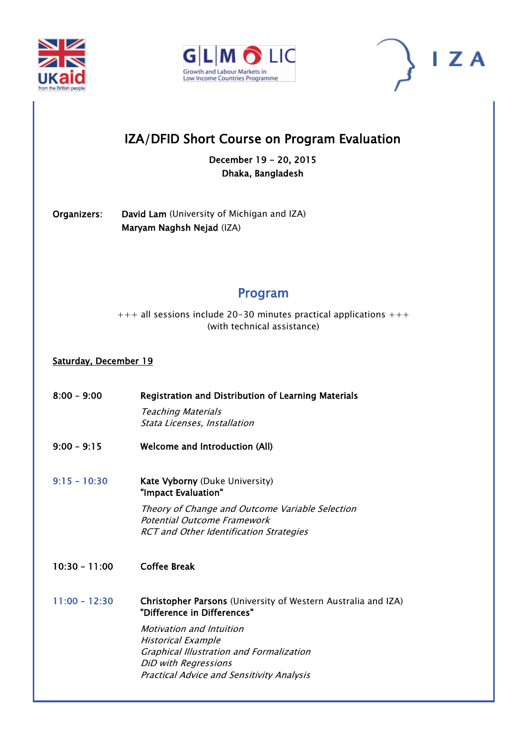





# IZA/DFID Short Course on Program Evaluation

December 19 - 20, 2015 Dhaka, Bangladesh

Organizers: David Lam (University of Michigan and IZA) Maryam Naghsh Nejad (IZA)

# Program

 $+++$  all sessions include 20-30 minutes practical applications  $+++$ (with technical assistance)

## Saturday, December 19

8:00 – 9:00 Registration and Distribution of Learning Materials Teaching Materials Stata Licenses, Installation 9:00 – 9:15 Welcome and Introduction (All) 9:15 - 10:30 [Kate](javascript:satellite=window.open() Vyborny (Duke University) ["Impact Evaluation"](http://www.iza.org/conference_files/CIER2015/zheng_l9573.pdf)  Theory of Change and Outcome Variable Selection Potential Outcome Framework RCT and Other Identification Strategies 10:30 – 11:00 Coffee Break 11:00 – 12:30 [Christopher](javascript:satellite=window.open() Parsons (University of Western Australia and IZA) "Difference in Differences" Motivation and Intuition Historical Example Graphical Illustration and Formalization DiD with Regressions Practical Advice and Sensitivity Analysis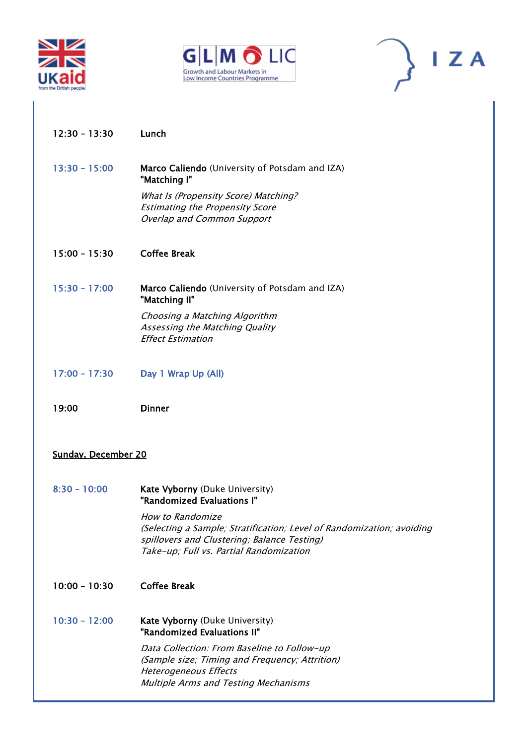





- 12:30 13:30 Lunch
- 13:30 15:00 [Marco](javascript:satellite=window.open() Caliendo (University of Potsdam and IZA) "Matching I" What Is (Propensity Score) Matching? Estimating the Propensity Score

Overlap and Common Support

- 15:00 15:30 Coffee Break
- 15:30 17:00 [Marco](javascript:satellite=window.open() Caliendo (University of Potsdam and IZA) "Matching II" Choosing a Matching Algorithm Assessing the Matching Quality Effect Estimation
- 17:00 17:30 Day 1 Wrap Up (All)
- 19:00 Dinner

### Sunday, December 20

8:30 - 10:00 [Kate](javascript:satellite=window.open() Vyborny (Duke University) ["Randomized Evaluations I"](http://www.iza.org/conference_files/CIER2015/zheng_l9573.pdf) 

> How to Randomize (Selecting a Sample; Stratification; Level of Randomization; avoiding spillovers and Clustering; Balance Testing) Take-up; Full vs. Partial Randomization

- 10:00 10:30 Coffee Break
- 10:30 12:00 [Kate](javascript:satellite=window.open() Vyborny (Duke University) ["Randomized Evaluations II"](http://www.iza.org/conference_files/CIER2015/zheng_l9573.pdf)  Data Collection: From Baseline to Follow-up (Sample size; Timing and Frequency; Attrition) Heterogeneous Effects Multiple Arms and Testing Mechanisms